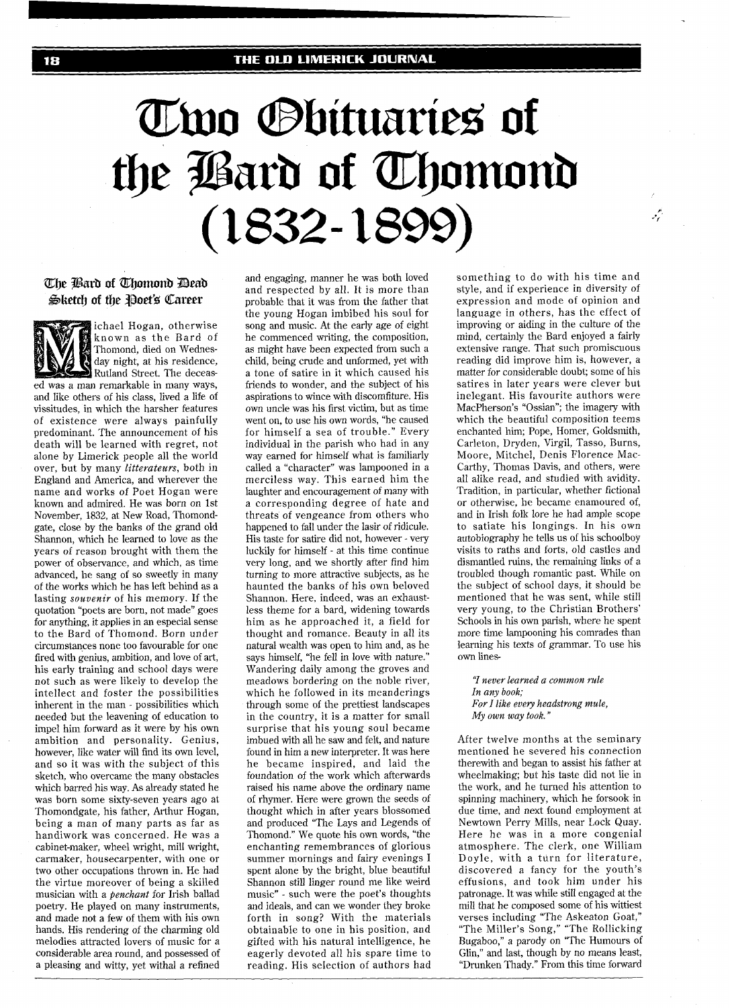# Two Sbituaries of the Bard of Thomond  $(1832 - 1899)$

## The Bard of Thomond Dead Sketch of the Poet's Career

ichael Hogan, otherwise known as the Bard of Thomond, died on Wednes-<br>day night, at his residence, day night, at his residence, Rutland Street. The deceased was a man remarkable in many ways, and like others of his class, lived a life of vissitudes, in which the harsher features of existence were always painfully predominant. The announcement of his death will be learned with regret, not alone by Limerick people all the world over, but by many *litterateurs,* both in England and America, and wherever the name and works of Poet Hogan were known and admired. He was born on 1st November, 1832, at New Road, Thomondgate, close by the banks of the grand old Shannon, which he learned to love as the years of reason brought with them the power of observance, and which, as time advanced, he sang of so sweetly in many of the works which he has left behind as a lasting *souvenir* of his memory. If the quotation "poets are born, not made" goes for anything, it applies in an especial sense to the Bard of Thomond. Born under circumstances none too favourable for one fired with genius, ambition, and love of art, his early training and school days were not such as were likely to develop the intellect and foster the possibilities inherent in the man - possibilities which needed but the leavening of education to impel him forward as it were by his own ambition and personality. Genius, however, like water will find its own level, and so it was with the subject of this sketch, who overcame the many obstacles which barred his way. As already stated he was born some sixty-seven years ago at Thomondgate, his father, Arthur Hogan, being a man of many parts as far as handiwork was concerned. He was a cabinet-maker, wheel wright, mill wright, carmaker, housecarpenter, with one or two other occupations thrown in. He had the virtue moreover of being a skilled musician with a *penchant* for Irish ballad poetry. He played on many instruments, and made not a few of them with his own hands. His rendering of the charming old melodies attracted lovers of music for a considerable area round, and possessed of a pleasing and witty, yet withal a refined

and engaging, manner he was both loved and respected by all. It is more than probable that it was from the father that the young Hogan imbibed his soul for song and music. At the early age of eight he commenced writing, the composition, as might have been expected from such a child, being crude and unformed, yet with a tone of satire in it which caused his friends to wonder, and the subject of his aspirations to wince with discomfiture. His own uncle was his first victim, but as time went on, to use his own words, "he caused for himself a sea of trouble." Every individual in the parish who had in any way earned for himself what is familiarly called a "character" was lampooned in a merciless way. This earned him the laughter and encouragement of many with a corresponding degree of hate and threats of vengeance from others who happened to fall under the lasir of ridicule. His taste for satire did not, however - very luckily for himself - at this time continue very long, and we shortly after find him turning to more attractive subjects, as he haunted the banks of his own beloved Shannon. Here, indeed, was an exhaustless theme for a bard, widening towards him as he approached it, a field for thought and romance. Beauty in all its natural wealth was open to him and, as he says himself, "he fell in love with nature." Wandering daily among the groves and meadows bordering on the noble river, which he followed in its meanderings through some of the prettiest landscapes in the country, it is a matter for small surprise that his young soul became imbued with all he saw and felt, and nature found in him a new interpreter. It was here he became inspired, and laid the foundation of the work which afterwards raised his name above the ordinary name of rhymer. Here were grown the seeds of thought which in after years blossomed and produced "The Lays and Legends of Thomond." We quote his own words, "the enchanting remembrances of glorious summer mornings and fairy evenings I spent alone by the bright, blue beautiful Shannon still linger round me like weird music" - such were the poet's thoughts and ideals, and can we wonder they broke forth in song? With the materials obtainable to one in his position, and gifted with his natural intelligence, he eagerly devoted all his spare time to reading. His selection of authors had something to do with his time and style, and if experience in diversity of expression and mode of opinion and language in others, has the effect of improving or aiding in the culture of the mind, certainly the Bard enjoyed a fairly extensive range. That such promiscuous reading did improve him is, however, a matter for considerable doubt; some of his satires in later years were clever but inelegant. His favourite authors were MacPherson's "Ossian"; the imagery with which the beautiful composition teems enchanted him; Pope, Homer, Goldsmith, Carleton, Dryden, Virgil, Tasso, Burns, Moore, Mitchel, Denis Florence Mac-Carthy, Thomas Davis, and others, were all alike read, and studied with avidity. Tradition, in particular, whether fictional or otherwise, he became enamoured of, and in Irish folk lore he had ample scope to satiate his longings. In his own autobiography he tells us of his schoolboy visits to raths and forts, old castles and dismantled ruins, the remaining links of a troubled though romantic past. While on the subject of school days, it should be mentioned that he was sent, while still very young, to the Christian Brothers' Schools in his own parish, where he spent more time lampooning his comrades than learning his texts of grammar. To use his own linesيمني

**'7** *never leamed a common rule In any book; For I like every headstrong mule, My own way took."* 

After twelve months at the seminary mentioned he severed his connection therewith and began to assist his father at wheelmaking; but his taste did not lie in the work, and he turned his attention to spinning machinery, which he forsook in due time, and next found employment at Newtown Perry Mills, near Lock Quay. Here he was in a more congenial atmosphere. The clerk, one William Doyle, with a turn for literature, discovered a fancy for the youth's effusions, and took him under his patronage. It was while still engaged at the mill that he composed some of his wittiest verses including "The Askeaton Goat," "The Miller's Song," "The Rollicking Bugaboo," a parody on 'The Humours of Glin," and last, though by no means least, "Drunken Thady." From this time forward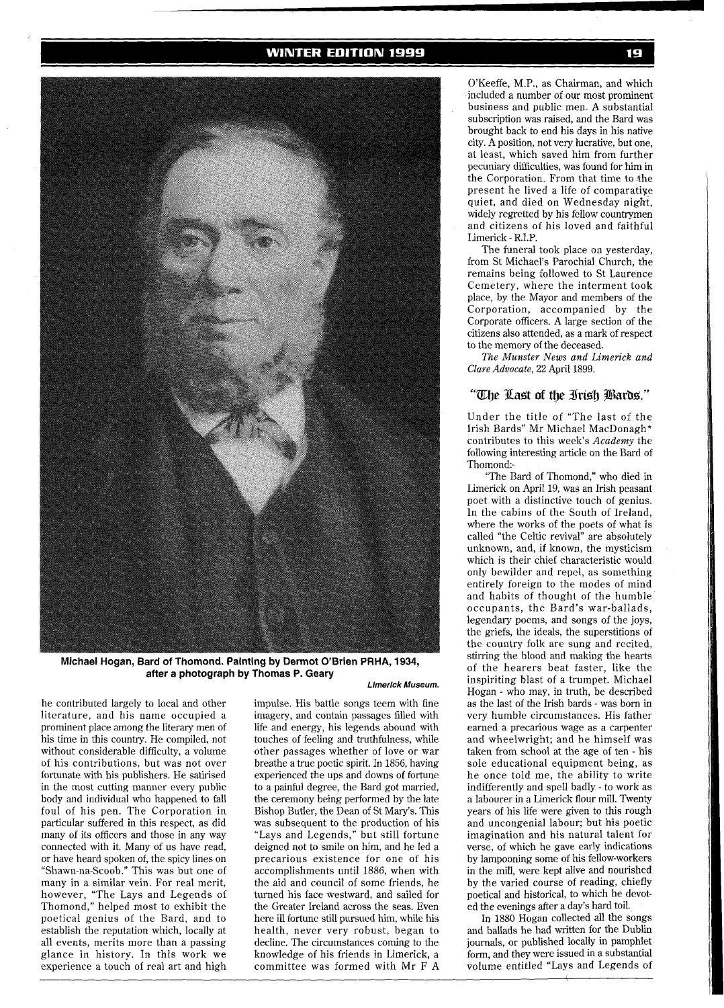#### **WINTER EDITION 1999**



**Michael Hogan, Bard of Thomond. Painting by Dermot O'Brien PRHA, 1934, after a photograph by Thomas P. Geary** 

**Limerick Museum.** 

he contributed largely to local and other impulse. His battle songs teem with fine literature, and his name occupied a imagery, and contain passages filled with his time in this country. He compiled, not touches of feeling and truthfulness, while without considerable difficulty, a volume other passages whether of love or war<br>of his contributions, but was not over breathe a true poetic spirit. In 1856, having of his contributions, but was not over breathe a true poetic spirit. In 1856, having<br>fortunate with his publishers. He satirised experienced the ups and downs of fortune fortunate with his publishers. He satirised experienced the ups and downs of fortune<br>in the most cutting manner every public to a painful degree, the Bard got married, body and individual who happened to fall the ceremony being performed by the late foul of his pen. The Corporation in Bishop Butler, the Dean of St Mary's. This particular suffered in this respect, as did was subsequent to the production of his many of its officers and those in any way "Lays and Legends," but still fortune connected with it. Many of us have read, deigned not to smile on him, and he led a<br>or have heard spoken of, the spicy lines on precarious existence for one of his "Shawn-na-Scoob." This was but one of accomplishments until 1886, when with many in a similar vein. For real merit, the aid and council of some friends, he however, "The Lays and Legends of turned his face westward, and sailed for however, "The Lays and Legends of turned his face westward, and sailed for Thomond," helped most to exhibit the the Greater Ireland across the seas. Even poetical genius of the Bard, and to here ill fortune still pursued him, while his establish the reputation which, locally at health, never very robust, began to all events, merits more than a passing decline. The circumstances coming to the glance in history. In this work we knowledge of his friends in Limerick, a experience a touch of real art and high committee was formed with Mr F A experience a touch of real art and high

life and energy, his legends abound with to a painful degree, the Bard got married, Bishop Butler, the Dean of St Mary's. This precarious existence for one of his<br>accomplishments until 1886, when with decline. The circumstances coming to the

O'Keeffe, M.P., as Chairman, and which included a number of our most prominent business and public men. A substantial subscription was raised, and the Bard was brought back to end his days in his native city. A position, not very lucrative, but one, at least, which saved him from further pecuniary difficulties, was found for him in the Corporation. From that time to the present he lived a life of comparative quiet, and died on Wednesday night, widely regretted by his fellow countrymen and citizens of his loved and faithful Limerick - R.I.P.

The funeral took place on yesterday, from St Michael's Parochial Church, the remains being followed to St Laurence Cemetery, where the interment took place, by the Mayor and members of the Corporation, accompanied by the Corporate officers. A large section of the citizens also attended, as a mark of respect to the memory of the deceased.

The *Munster News and Limerick and Clare Advocate, 22* April 1899.

## "The Last of the Irish Bards."

Under the title of "The last of the Irish Bards" Mr Michael MacDonagh\* contributes to this week's *Academy* the following interesting article on the Bard of Thomond:-

"The Bard of Thomond," who died in Limerick on April 19, was an Irish peasant poet with a distinctive touch of genius. In the cabins of the South of Ireland, where the works of the poets of what is called "the Celtic revival" are absolutely unknown, and, if known, the mysticism which is their chief characteristic would only bewilder and repel, as something entirely foreign to the modes of mind and habits of thought of the humble occupants, the Bard's war-ballads, legendary poems, and songs of the joys, the griefs, the ideals, the superstitions of the country folk are sung and recited, stirring the blood and making the hearts of the hearers beat faster, like the inspiriting blast of a trumpet. Michael Hogan - who may, in truth, be described as the last of the Irish bards - was born in very humble circumstances. His father earned a precarious wage as a carpenter and wheelwright; and he himself was taken from school at the age of ten - his sole educational equipment being, as he once told me, the ability to write indifferently and spell badly - to work as a labourer in a Limerick flour mill. Twenty years of his life were given to this rough and uncongenial labour; but his poetic imagination and his natural talent for verse, of which he gave early indications by lampooning some of his fellow-workers in the mill, were kept alive and nourished by the varied course of reading, chiefly poetical and historical, to which he devoted the evenings after a day's hard toil.

In 1880 Hogan collected all the songs and ballads he had written for the Dublin journals, or published locally in pamphlet form, and they were issued in a substantial volume entitled "Lays and Legends of